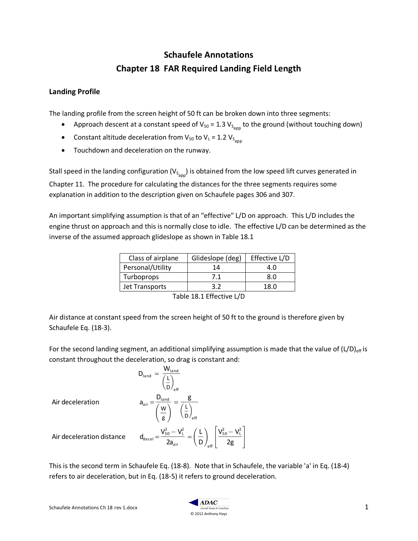## **Schaufele Annotations Chapter 18 FAR Required Landing Field Length**

## **Landing Profile**

The landing profile from the screen height of 50 ft can be broken down into three segments:

- Approach descent at a constant speed of V<sub>50</sub> = 1.3 V<sub>S<sub>app</sub> to the ground (without touching down)</sub>
- Constant altitude deceleration from  $V_{50}$  to  $V_{L}$  = 1.2  $V_{S_{app}}$
- Touchdown and deceleration on the runway.

Stall speed in the landing configuration (V $_{\text{S}_{\text{app}}}$ ) is obtained from the low speed lift curves generated in Chapter 11. The procedure for calculating the distances for the three segments requires some explanation in addition to the description given on Schaufele pages 306 and 307.

An important simplifying assumption is that of an "effective" L/D on approach. This L/D includes the engine thrust on approach and this is normally close to idle. The effective L/D can be determined as the inverse of the assumed approach glideslope as shown in Table 18.1

| Class of airplane | Glideslope (deg) | Effective L/D |
|-------------------|------------------|---------------|
| Personal/Utility  | 14               | 4.0           |
| Turboprops        | 7.1              | 8.0           |
| Jet Transports    | 3.2              | 1ጸ በ          |
|                   |                  |               |

Table 18.1 Effective L/D

Air distance at constant speed from the screen height of 50 ft to the ground is therefore given by Schaufele Eq. (18-3).

For the second landing segment, an additional simplifying assumption is made that the value of  $(L/D)_{\text{eff}}$  is constant throughout the deceleration, so drag is constant and:

$$
D_{\text{land}} = \frac{W_{\text{land}}}{\left(\frac{L}{D}\right)_{\text{eff}}}
$$
\n
$$
a_{\text{air}} = \frac{D_{\text{land}}}{\left(\frac{W}{g}\right)} = \frac{g}{\left(\frac{L}{D}\right)_{\text{eff}}}
$$

 $^{2}_{50} - V_L^2$  $2a_{air}$  $\frac{V_{50}^2 - V_{\text{L}}^2}{2} = \frac{L}{2}$ 

Air deceleration

Air deceleration distance

This is the second term in Schaufele Eq. (18-8). Note that in Schaufele, the variable 'a' in Eq. (18-4) refers to air deceleration, but in Eq. (18-5) it refers to ground deceleration.

D  $\left(\frac{\mathsf{L}}{\mathsf{L}}\right)$ 

eff

 $\overline{1}$  $\mathbf{I}$ 

 $V_{50}^{2} - V_{L}^{2}$ 2g  $\frac{r_{50}-r_{L}}{r_{F}}$ 

I  $\mathbf{I}$ 

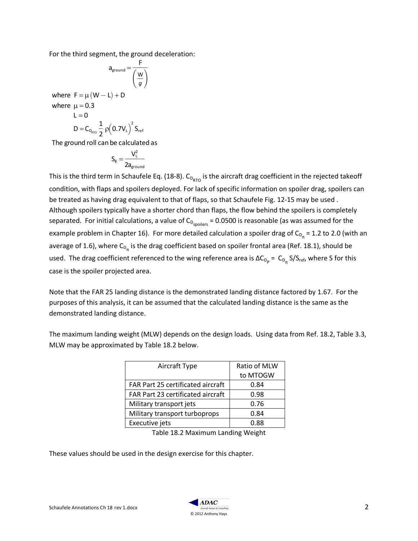For the third segment, the ground deceleration:

$$
a_{ground} = \frac{F}{\left(\frac{W}{g}\right)}
$$
  
where  $F = \mu (W - L) + D$   
where  $\mu = 0.3$   
 $L = 0$   
 $D = C_{D_{\text{RTO}}} \frac{1}{2} \rho (0.7 V_L)^2 S_{\text{ref}}$   
The ground roll can be calculated as

The ground roll can be calculated as

$$
S_g=\frac{V_L^2}{2a_{\text{ground}}}
$$

This is the third term in Schaufele Eq. (18-8).  $\mathsf{C_{\mathsf{D}_{RTO}}}$  is the aircraft drag coefficient in the rejected takeoff condition, with flaps and spoilers deployed. For lack of specific information on spoiler drag, spoilers can be treated as having drag equivalent to that of flaps, so that Schaufele Fig. 12-15 may be used . Although spoilers typically have a shorter chord than flaps, the flow behind the spoilers is completely separated. For initial calculations, a value of  $C_{D_{spollers}} = 0.0500$  is reasonable (as was assumed for the example problem in Chapter 16). For more detailed calculation a spoiler drag of  $C_{D_{m}}$  = 1.2 to 2.0 (with an average of 1.6), where  $C_{D_{\pi}}$  is the drag coefficient based on spoiler frontal area (Ref. 18.1), should be used. The drag coefficient referenced to the wing reference area is  $\Delta C_{D_p} = C_{D_m} S/S_{ref}$ , where S for this case is the spoiler projected area.

Note that the FAR 25 landing distance is the demonstrated landing distance factored by 1.67. For the purposes of this analysis, it can be assumed that the calculated landing distance is the same as the demonstrated landing distance.

| Aircraft Type                     | Ratio of MLW |
|-----------------------------------|--------------|
|                                   | to MTOGW     |
| FAR Part 25 certificated aircraft | 0.84         |
| FAR Part 23 certificated aircraft | 0.98         |
| Military transport jets           | 0.76         |
| Military transport turboprops     | 0.84         |
| Executive jets                    | 0.88         |

The maximum landing weight (MLW) depends on the design loads. Using data from Ref. 18.2, Table 3.3, MLW may be approximated by Table 18.2 below.

Table 18.2 Maximum Landing Weight

These values should be used in the design exercise for this chapter.